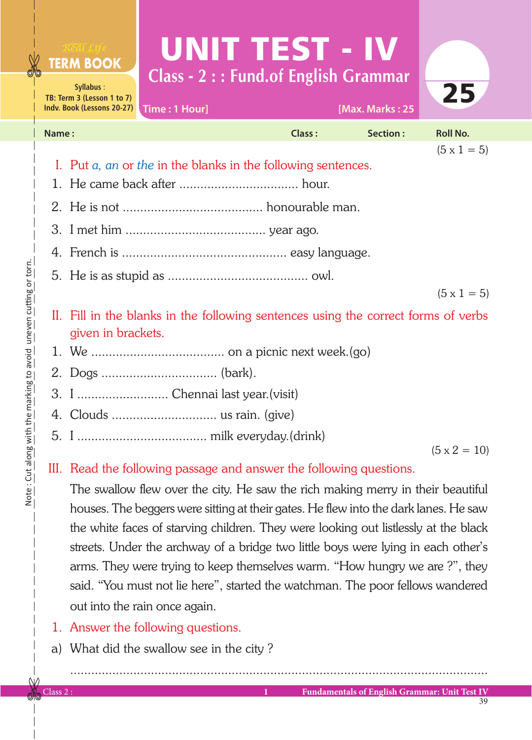## UNIT TEST - IV **Class - 2 : : Fund.of English Grammar**



| Indv. Book (Lessons 20-27)   Time: 1 Hour]                                                               |        | [Max. Marks: 25 |                    |
|----------------------------------------------------------------------------------------------------------|--------|-----------------|--------------------|
| Name:                                                                                                    | Class: | Section:        | <b>Roll No.</b>    |
|                                                                                                          |        |                 | $(5 \times 1 = 5)$ |
| I. Put a, an or the in the blanks in the following sentences.                                            |        |                 |                    |
|                                                                                                          |        |                 |                    |
|                                                                                                          |        |                 |                    |
|                                                                                                          |        |                 |                    |
|                                                                                                          |        |                 |                    |
|                                                                                                          |        |                 |                    |
|                                                                                                          |        |                 | $(5 \times 1 = 5)$ |
| II. Fill in the blanks in the following sentences using the correct forms of verbs<br>given in brackets. |        |                 |                    |

- 1. We ...................................... on a picnic next week.(go)
- 2. Dogs ................................. (bark).
- 3. I .......................... Chennai last year.(visit)
- 4. Clouds .............................. us rain. (give)
- 5. I ..................................... milk everyday.(drink)

 $(5 \times 2 = 10)$ 

## III. Read the following passage and answer the following questions.

 The swallow flew over the city. He saw the rich making merry in their beautiful houses. The beggers were sitting at their gates. He flew into the dark lanes. He saw the white faces of starving children. They were looking out listlessly at the black streets. Under the archway of a bridge two little boys were lying in each other's arms. They were trying to keep themselves warm. "How hungry we are ?", they said. "You must not lie here", started the watchman. The poor fellows wandered out into the rain once again.

.......................................................................................................................

- 1. Answer the following questions.
- a) What did the swallow see in the city ?

**Syllabus** : **TB: Term 3 (Lesson 1 to 7)**

**FERM BOOK**